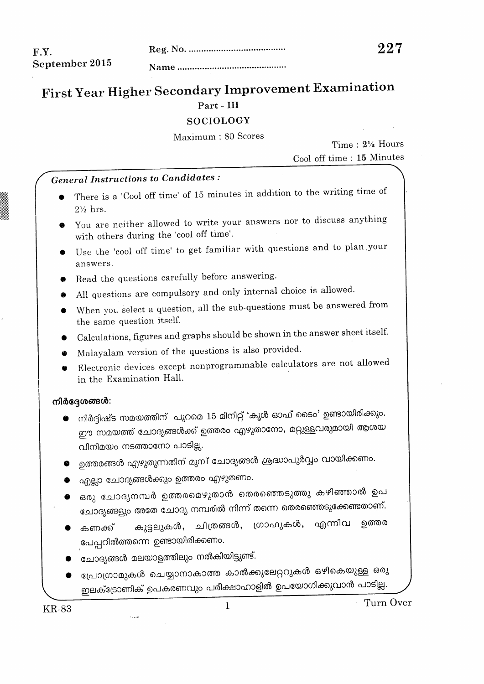### F.Y. September 2015

# First Year Higher Secondary Improvement Examination Part - III

#### **SOCIOLOGY**

Maximum: 80 Scores

Time:  $2\frac{1}{2}$  Hours Cool off time: 15 Minutes

## **General Instructions to Candidates:**

- There is a 'Cool off time' of 15 minutes in addition to the writing time of  $2\%$  hrs.
- You are neither allowed to write your answers nor to discuss anything with others during the 'cool off time'.
- Use the 'cool off time' to get familiar with questions and to plan your answers.
- Read the questions carefully before answering.
- All questions are compulsory and only internal choice is allowed.
- When you select a question, all the sub-questions must be answered from the same question itself.
- Calculations, figures and graphs should be shown in the answer sheet itself.
- Malayalam version of the questions is also provided.
- Electronic devices except nonprogrammable calculators are not allowed in the Examination Hall.

#### നിർദ്ദേശങ്ങൾ:

- നിർദ്ദിഷ്ട സമയത്തിന് പുറമെ 15 മിനിറ്റ് 'കൂൾ ഓഫ് ടൈം' ഉണ്ടായിരിക്കും. ഈ സമയത്ത് ചോദ്യങ്ങൾക്ക് ഉത്തരം എഴുതാനോ, മറ്റുള്ളവരുമായി ആശയ വിനിമയം നടത്താനോ പാടില്ല.
- ഉത്തരങ്ങൾ എഴുതുന്നതിന് മുമ്പ് ചോദ്യങ്ങൾ ശ്രദ്ധാപുർവ്വം വായിക്കണം.
- എല്ലാ ചോദ്യങ്ങൾക്കും ഉത്തരം എഴുതണം.
- ഒരു ചോദ്യനമ്പർ ഉത്തരമെഴുതാൻ തെരഞ്ഞെടുത്തു കഴിഞ്ഞാൽ ഉപ ചോദ്യങ്ങളും അതേ ചോദ്യ നമ്പരിൽ നിന്ന് തന്നെ തെരഞ്ഞെടുക്കേണ്ടതാണ്.
- കൂട്ടലുകൾ, ചിത്രങ്ങൾ, ഗ്രാഫുകൾ, എന്നിവ ഉത്തര കണക്ക് പേപ്പറിൽത്തന്നെ ഉണ്ടായിരിക്കണം.
- ചോദ്യങ്ങൾ മലയാളത്തിലും നൽകിയിട്ടുണ്ട്.

سيب

പ്രോഗ്രാമുകൾ ചെയ്യാനാകാത്ത കാൽക്കുലേറ്ററുകൾ ഒഴികെയുള്ള ഒരു ഇലക്ട്രോണിക് ഉപകരണവും പരീക്ഷാഹാളിൽ ഉപയോഗിക്കുവാൻ പാടില്ല.

**KR-83** 

Turn Over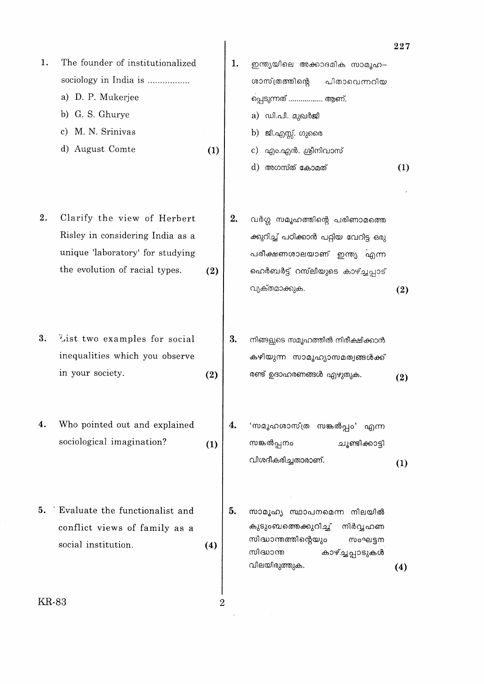|       |                                  |     |    |                                                     | $\bf 227$ |
|-------|----------------------------------|-----|----|-----------------------------------------------------|-----------|
| 1.    | The founder of institutionalized |     | 1. | ഇന്ത്യയിലെ അക്കാദമിക സാമൂഹ-                         |           |
|       | sociology in India is            |     |    | ശാസ്ത്രത്തിന്റെ<br>പിതാവെന്നറിയ                     |           |
|       | a) D. P. Mukerjee                |     |    | പ്പെടുന്നത്  ആണ്.                                   |           |
|       | G. S. Ghurye<br>b)               |     |    | a) ഡി.പി. മുഖർജി                                    |           |
|       | M. N. Srinivas<br>C)             |     |    | b) ജി.എസ്സ്. ഗുരൈ                                   |           |
|       | August Comte<br>d)               | (1) |    | എം.എൻ. ശ്രീനിവാസ്<br>C)                             |           |
|       |                                  |     |    | d) അഗസ്ത് കോമത്                                     | (1)       |
| 2.    | Clarify the view of Herbert      |     | 2. |                                                     |           |
|       | Risley in considering India as a |     |    | വർഗ്ഗ സമൂഹത്തിന്റെ പരിണാമത്തെ                       |           |
|       | unique 'laboratory' for studying |     |    | ക്കുറിച്ച് പഠിക്കാൻ പറ്റിയ വേറിട്ട ഒരു              |           |
|       | the evolution of racial types.   | (2) |    | പരീക്ഷണശാലയാണ് ഇന്ത്യ എന്ന                          |           |
|       |                                  |     |    | ഹെർബർട്ട് റസ്ലിയുടെ കാഴ്ച്ചപ്പാട്<br>വ്യക്തമാക്കുക. |           |
|       |                                  |     |    |                                                     | (2)       |
| 3.    | List two examples for social     |     | 3. | നിങ്ങളുടെ സമൂഹത്തിൽ നിരീക്ഷിക്കാൻ                   |           |
|       | inequalities which you observe   |     |    | കഴിയുന്ന സാമൂഹ്യാസമത്വങ്ങൾക്ക്                      |           |
|       | in your society.                 | (2) |    | രണ്ട് ഉദാഹരണങ്ങൾ എഴുതുക.                            | (2)       |
|       |                                  |     |    |                                                     |           |
| 4.    | Who pointed out and explained    |     | 4. | 'സമൂഹശാസ്ത്ര സങ്കൽപ്പം' എന്ന                        |           |
|       | sociological imagination?        | (1) |    | സങ്കൽപ്പനം<br>ചൂണ്ടിക്കാട്ടി                        |           |
|       |                                  |     |    | വിശദീകരിച്ചതാരാണ്.                                  | (1)       |
| 5.    | Evaluate the functionalist and   |     | 5. | സാമൂഹ്യ സ്ഥാപനമെന്ന നിലയിൽ                          |           |
|       | conflict views of family as a    |     |    | കുടുംബത്തെക്കുറിച്ച്<br>നിർവ്വഹണ                    |           |
|       | social institution.              | (4) |    | സിദ്ധാന്തത്തിന്റെയും<br>സംഘട്ടന                     |           |
|       |                                  |     |    | സിദ്ധാന്ത<br>കാഴ്ച്ചപ്പാടുകൾ<br>വിലയിരുത്തുക.       |           |
|       |                                  |     |    |                                                     | (4)       |
| KR-83 |                                  | 2   |    |                                                     |           |
|       |                                  |     |    |                                                     |           |

 $KR-83$ 

 $\mathcal{L}_{\text{max}}$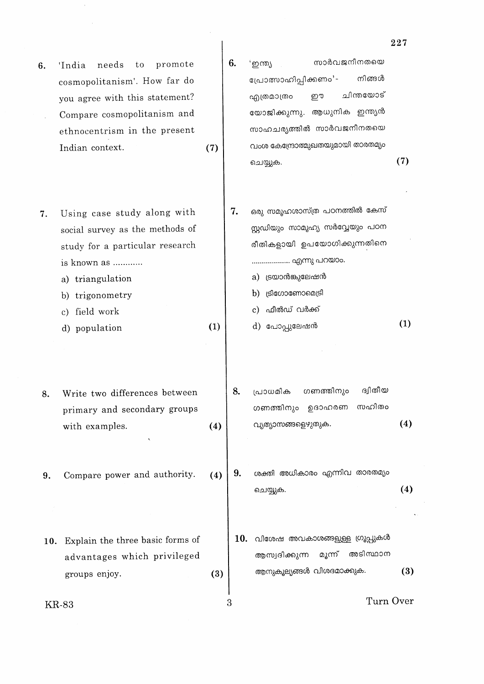needs promote 'India to 6. cosmopolitanism'. How far do you agree with this statement? Compare cosmopolitanism and ethnocentrism in the present Indian context.

Using case study along with 7. social survey as the methods of study for a particular research is known as ............

a) triangulation

b) trigonometry

c) field work

- d) population
- Write two differences between 8. primary and secondary groups  $(4)$ with examples.
- Compare power and authority. 9.
- 10. Explain the three basic forms of advantages which privileged groups enjoy.  $(3)$

**KR-83** 

സാർവജനീനതയെ 'ഇന്ത്യ പ്രോത്സാഹിപ്പിക്കണം'-നിങ്ങൾ ചിന്തയോട് എത്രമാത്രം ഈ യോജിക്കുന്നു. ആധുനിക ഇന്ത്യൻ സാഹചര്യത്തിൽ സാർവജനീനതയെ വംശ കേന്ദ്രോത്മുഖതയുമായി താരതമ്യം  $(7)$ ചെയ്യുക.

6.

 $(7)$ 

 $(1)$ 

- ഒരു സമൂഹശാസ്ത്ര പഠനത്തിൽ കേസ് 7. സ്റ്റഡിയും സാമൂഹ്യ സർവ്വേയും പഠന രീതികളായി ഉപയോഗിക്കുന്നതിനെ ................... എന്നു പറയാം.
	- a) ട്രയാൻങ്കുലേഷൻ
	- b)  $[slacos<sub>omon</sub>(sl<sub>5</sub>)]$

c) ഫീൽഡ് വർക്ക്

- $(1)$ d) പോപ്പുലേഷൻ
- 8. ഗണത്തിനും ദിതീയ പ്രാധമിക സഹിതം ഗണത്തിനും ഉദാഹരണ വ്യത്യാസങ്ങളെഴുതുക.  $(4)$
- ശക്തി അധികാരം എന്നിവ താരതമ്യം 9.  $(4)$ ചെയ്യുക.
- $10.$  വിശേഷ അവകാശങ്ങളുള്ള ഗ്രൂപ്പുകൾ ആസ്വദിക്കുന്ന മൂന്ന് അടിസ്ഥാന ആനുകൂല്യങ്ങൾ വിശദമാക്കുക.  $(3)$

Turn Over

3

 $(4)$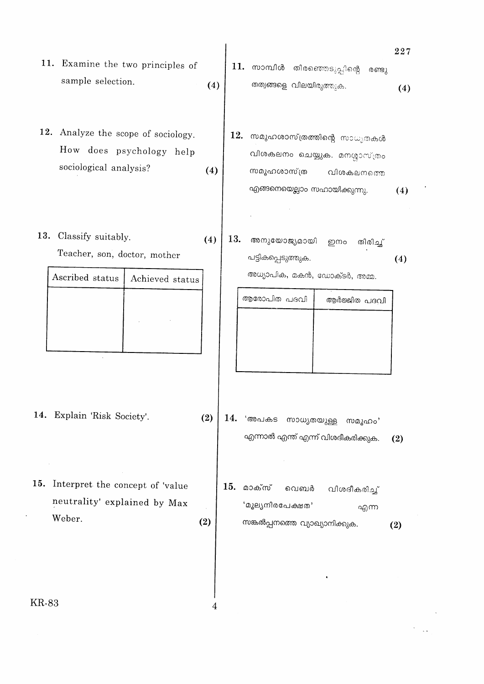- 11. Examine the two principles of sample selection.  $(4)$
- 12. Analyze the scope of sociology. How does psychology help sociological analysis?  $(4)$
- 13. Classify suitably.  $(4)$ Teacher, son, doctor, mother

| Ascribed status | Achieved status |
|-----------------|-----------------|
|                 |                 |
|                 |                 |
|                 |                 |

- 14. Explain 'Risk Society'.
- 15. Interpret the concept of 'value neutrality' explained by Max Weber.

 $(2)$ 

4

തത്വങ്ങളെ വിലയിരുത്തുക.  $(4)$  $\bf 12.$  സമൂഹശാസ്ത്രത്തിന്റെ സാധൃതകൾ വിശകലനം ചെയ്യുക. മനശ്ശാസ്ത്രം സമൂഹശാസ്ത്ര വിശകലനത്തെ എങ്ങനെയെല്ലാം സഹായിക്കുന്നു.  $(4)$ 13. അനുയോജ്യമായി ഇനം തിരിച്ച് പട്ടികപ്പെടുത്തുക.  $(4)$ അധ്യാപിക, മകൻ, ഡോക്ടർ, അമ്മ. ആരോപിത പദവി ആർജ്ജിത പദവി

11. സാമ്പിൾ തിരഞ്ഞെടുപ്പിന്റെ

227

രണ്ടു

- $(2)$ 14. 'അപകട സാധ്യതയുള്ള സമൂഹം' എന്നാൽ എന്ത് എന്ന് വിശദീകരിക്കുക.  $(2)$ 
	- 15. മാക്സ് വിശദീകരിച്ച് വെബർ 'മൂല്യനിരപേക്ഷത' എന്ന സങ്കൽപ്പനത്തെ വ്യാഖ്യാനിക്കുക.  $(2)$

**KR-83**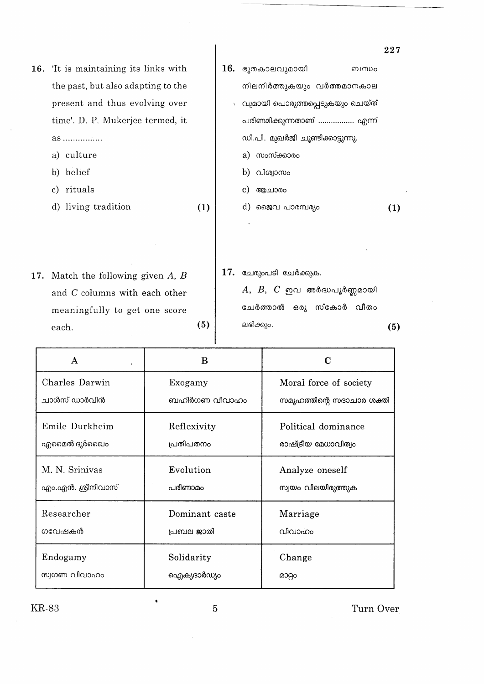|     |                                    |     |     |                                   | $\bf 227$ |
|-----|------------------------------------|-----|-----|-----------------------------------|-----------|
| 16. | It is maintaining its links with   |     | 16. | ഭൂതകാലവുമായി<br>ബന്ധം             |           |
|     | the past, but also adapting to the |     |     | നിലനിർത്തുകയും വർത്തമാനകാല        |           |
|     | present and thus evolving over     |     |     | വുമായി പൊരുത്തപ്പെടുകയും ചെയ്ത്   |           |
|     | time'. D. P. Mukerjee termed, it   |     |     | പരിണമിക്കുന്നതാണ്  എന്ന്          |           |
|     | $as$                               |     |     | ഡി.പി. മുഖർജി ചൂണ്ടിക്കാട്ടുന്നു. |           |
|     | a) culture                         |     |     | a) സംസ്ക്കാരം                     |           |
|     | b) belief                          |     |     | $b)$ വിശ്വാസം                     |           |
|     | c) rituals                         |     |     | ആചാരം<br>$\mathbf{c}$             |           |
|     | d) living tradition                | (1) |     | d) ജൈവ പാരമ്പര്യം                 | (1)       |
|     |                                    |     |     |                                   |           |
|     |                                    |     |     |                                   |           |
|     |                                    |     |     |                                   |           |
| 17. | Match the following given $A, B$   |     | 17. | ചേരുംപടി ചേർക്കുക.                |           |
|     | and C columns with each other      |     |     | $A, B, C$ ഇവ അർദ്ധപൂർണ്ണമായി      |           |
|     | meaningfully to get one score      |     |     | ചേർത്താൽ ഒരു സ്കോർ വീതം           |           |
|     | each.                              | (5) |     | ലഭിക്കും.                         | (5)       |
|     |                                    |     |     |                                   |           |

 $\ddot{\phantom{a}}$ 

| A                                                           | R              |                                       |
|-------------------------------------------------------------|----------------|---------------------------------------|
| Charles Darwin                                              | Exogamy        | Moral force of society                |
| ചാൾസ് ഡാർവിൻ                                                | ബഹിർഗണ വിവാഹം  | സമൂഹത്തിന്റെ സദാചാര ശക്തി             |
| Emile Durkheim                                              | Reflexivity    | Political dominance                   |
| എമൈൽ ദുർഖൈം                                                 | പ്രതിപതനം      | രാഷ്ട്രീയ മേധാവിത്വം                  |
| M. N. Srinivas<br>Evolution<br>എം.എൻ. ശ്രീനിവാസ്<br>പരിണാമം |                | Analyze oneself<br>സ്വയം വിലയിരുത്തുക |
| Researcher                                                  | Dominant caste | Marriage                              |
| ഗവേഷകൻ                                                      | പ്രബല ജാതി     | വിവാഹം                                |
| Endogamy<br>Solidarity<br>സ്വഗണ വിവാഹം<br>ഐക്യദാർഡ്യം       |                | Change<br>മാറ്റം                      |

KR-83

 $\bar{a}$ 

 $\overline{5}$ 

 $\bar{\beta}$ 

 $\ddot{\phantom{0}}$ 

Turn Over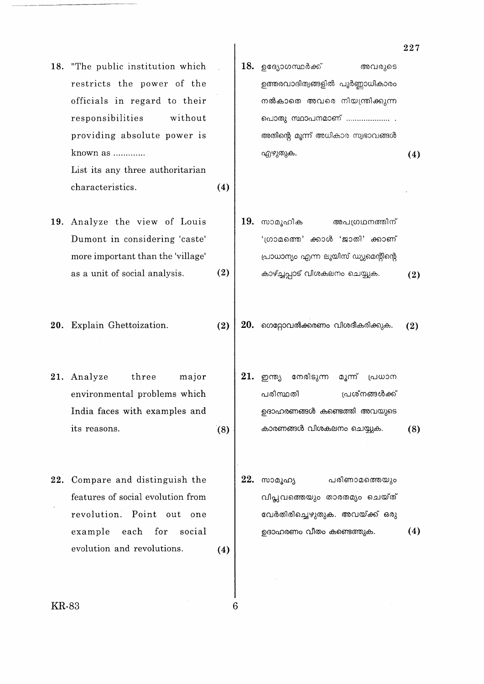18. "The public institution which restricts the power of the officials in regard to their responsibilities without providing absolute power is known as ............

> List its any three authoritarian characteristics.  $(4)$

19. Analyze the view of Louis Dumont in considering 'caste' more important than the 'village'  $(2)$ as a unit of social analysis.

20. Explain Ghettoization.

 $(2)$ 

6

- 21. Analyze three major environmental problems which India faces with examples and its reasons.  $(8)$
- 22. Compare and distinguish the features of social evolution from revolution. Point out one each for social example evolution and revolutions.  $(4)$
- $18.$  ഉദ്യോഗസ്ഥർക്ക് അവരുടെ ഉത്തരവാദിത്വങ്ങളിൽ പൂർണ്ണാധികാരം നൽകാതെ അവരെ നിയന്ത്രിക്കുന്ന പൊതു സ്ഥാപനമാണ് ..................... . അതിന്റെ മൂന്ന് അധികാര സ്വഭാവങ്ങൾ എഴുതുക.  $(4)$
- $19.$  സാമൂഹിക അപഗ്രഥനത്തിന് 'ഗ്രാമത്തെ' ക്കാൾ 'ജാതി' ക്കാണ് പ്രാധാന്യം എന്ന ലൂയിസ് ഡ്യുമെന്റിന്റെ കാഴ്ച്ചപ്പാട് വിശകലനം ചെയ്യുക.  $(2)$
- $20.$  ഗെറ്റോവൽക്കരണം വിശദീകരിക്കുക.  $(2)$ 
	- 21. ഇന്ത്യ നേരിടുന്ന മൂന്ന് പ്രധാന പരിസ്ഥതി പ്രശ്നങ്ങൾക്ക് ഉദാഹരണങ്ങൾ കണ്ടെത്തി അവയുടെ കാരണങ്ങൾ വിശകലനം ചെയ്യുക.  $(8)$
- 22. സാമൂഹ്യ പരിണാമത്തെയും വിപ്ലവത്തെയും താരതമും ചെയ്ത് വേർതിരിച്ചെഴുതുക. അവയ്ക്ക് ഒരു ഉദാഹരണം വീതം കണ്ടെത്തുക.  $(4)$

**KR-83** 

227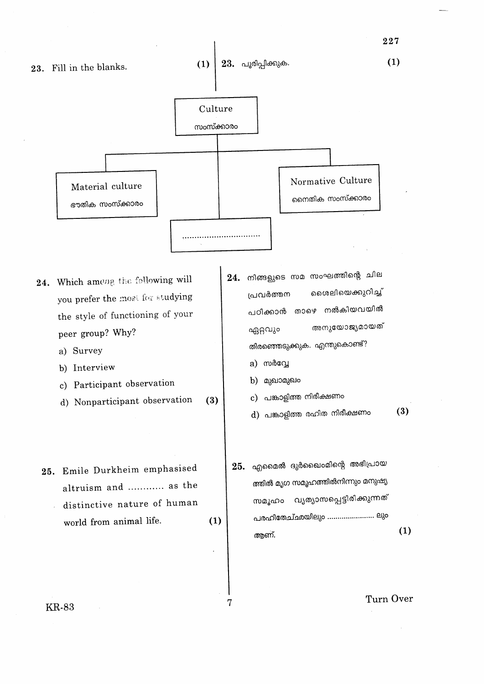

227

**KR-83**